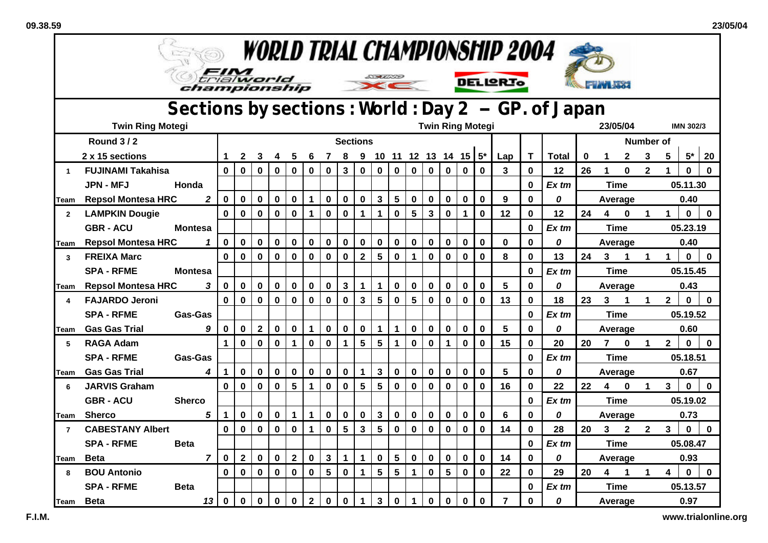$\mathbf{r}$ 

| <i>WORLD TRIAL CHAMPIONSHIP 2004</i> |                                                                                                                     |                |              |              |              |             |                |              |             |                         |                         |                         |                 |                         |                           |              |             |             |                |              |         |          |                |              |                      |                  |              |              |  |
|--------------------------------------|---------------------------------------------------------------------------------------------------------------------|----------------|--------------|--------------|--------------|-------------|----------------|--------------|-------------|-------------------------|-------------------------|-------------------------|-----------------|-------------------------|---------------------------|--------------|-------------|-------------|----------------|--------------|---------|----------|----------------|--------------|----------------------|------------------|--------------|--------------|--|
|                                      | <b>STALLS</b><br>trialworld<br><b>DELIGRIO</b><br>championship<br>Sections by sections: World: Day 2 - GP. of Japan |                |              |              |              |             |                |              |             |                         |                         |                         |                 |                         |                           |              |             |             |                |              |         |          |                |              |                      |                  |              |              |  |
|                                      |                                                                                                                     |                |              |              |              |             |                |              |             |                         |                         |                         |                 |                         |                           |              |             |             |                |              |         |          |                |              |                      |                  |              |              |  |
|                                      | <b>Twin Ring Motegi</b>                                                                                             |                |              |              |              |             |                |              |             |                         |                         |                         |                 | <b>Twin Ring Motegi</b> |                           |              |             |             |                |              |         | 23/05/04 |                |              |                      | <b>IMN 302/3</b> |              |              |  |
|                                      | <b>Round 3/2</b>                                                                                                    |                |              |              |              |             |                |              |             | <b>Sections</b>         |                         |                         |                 |                         |                           |              |             |             |                |              |         |          |                |              | Number of            |                  |              |              |  |
|                                      | 2 x 15 sections                                                                                                     |                |              | $\mathbf{2}$ | 3            | 4           | 5              | 6            | 7           | 8                       |                         |                         |                 |                         | 9 10 11 12 13 14 15 $5^*$ |              |             |             | Lap            | T            | Total   | 0        |                | $\mathbf{2}$ | 3                    | 5                | $5^*$        | 20           |  |
| $\mathbf 1$                          | <b>FUJINAMI Takahisa</b>                                                                                            |                | $\mathbf 0$  | $\mathbf 0$  | $\mathbf 0$  | $\mathbf 0$ | $\mathbf 0$    | 0            | $\mathbf 0$ | $\overline{\mathbf{3}}$ | $\mathbf 0$             | $\mathbf 0$             | $\mathbf 0$     | $\mathbf 0$             | $\mathbf 0$               | $\mathbf 0$  | 0           | $\mathbf 0$ | 3              | $\bf{0}$     | 12      | 26       | 1              | $\mathbf{0}$ | $\mathbf{2}$         | 1                | $\mathbf{0}$ | $\mathbf 0$  |  |
|                                      | <b>JPN - MFJ</b>                                                                                                    | Honda          |              |              |              |             |                |              |             |                         |                         |                         |                 |                         |                           |              |             |             |                | 0            | $Ex$ tm |          | Time           |              |                      | 05.11.30         |              |              |  |
| Team                                 | <b>Repsol Montesa HRC</b>                                                                                           | $\overline{2}$ | $\pmb{0}$    | $\mathbf 0$  | $\pmb{0}$    | $\mathbf 0$ | 0              | 1            | $\pmb{0}$   | $\pmb{0}$               | $\mathbf 0$             | $\mathbf{3}$            | $5\phantom{1}$  | $\pmb{0}$               | $\pmb{0}$                 | $\mathbf 0$  | 0           | $\bf{0}$    | 9              | 0            | 0       |          | Average        |              |                      | 0.40             |              |              |  |
| $\overline{2}$                       | <b>LAMPKIN Dougie</b>                                                                                               |                | $\bf{0}$     | 0            | $\bf{0}$     | $\mathbf 0$ | $\bf{0}$       | 1            | 0           | $\mathbf 0$             | 1                       | 1                       | $\bf{0}$        | 5                       | 3                         | 0            |             | $\bf{0}$    | 12             | 0            | 12      | 24       | 4              | $\mathbf 0$  | 1                    |                  | 0            | $\mathbf 0$  |  |
|                                      | <b>GBR-ACU</b>                                                                                                      | <b>Montesa</b> |              |              |              |             |                |              |             |                         |                         |                         |                 |                         |                           |              |             |             |                | $\mathbf 0$  | $Ex$ tm |          | <b>Time</b>    |              |                      | 05.23.19         |              |              |  |
| Team                                 | <b>Repsol Montesa HRC</b>                                                                                           | 1              | $\mathbf 0$  | $\mathbf 0$  | $\mathbf 0$  | $\mathbf 0$ | $\mathbf 0$    | $\mathbf 0$  | $\mathbf 0$ | $\mathbf 0$             | $\mathbf 0$             | $\mathbf 0$             | $\mathbf 0$     | $\mathbf 0$             | $\mathbf 0$               | $\mathbf 0$  | 0           | $\mathbf 0$ | $\mathbf 0$    | $\mathbf 0$  | 0       |          | Average        |              |                      |                  | 0.40         |              |  |
| 3                                    | <b>FREIXA Marc</b>                                                                                                  |                | $\mathbf 0$  | $\mathbf 0$  | $\mathbf 0$  | $\mathbf 0$ | $\mathbf 0$    | $\mathbf 0$  | $\pmb{0}$   | $\mathbf 0$             | $\overline{2}$          | 5                       | $\mathbf 0$     | $\mathbf{1}$            | $\mathbf 0$               | $\mathbf 0$  | $\bf{0}$    | $\bf{0}$    | 8              | $\bf{0}$     | 13      | 24       | 3              |              | 1                    |                  | 0            | $\mathbf{0}$ |  |
|                                      | <b>SPA - RFME</b>                                                                                                   | <b>Montesa</b> |              |              |              |             |                |              |             |                         |                         |                         |                 |                         |                           |              |             |             |                | $\mathbf 0$  | Ex tm   |          | <b>Time</b>    |              |                      |                  | 05.15.45     |              |  |
| Team                                 | <b>Repsol Montesa HRC</b>                                                                                           | 3              | $\mathbf 0$  | $\mathbf 0$  | $\mathbf 0$  | $\mathbf 0$ | 0              | $\mathbf 0$  | $\mathbf 0$ | $\mathbf{3}$            | $\mathbf 1$             | $\mathbf 1$             | $\mathbf 0$     | $\pmb{0}$               | $\mathbf 0$               | 0            | 0           | $\bf{0}$    | 5              | $\bf{0}$     | 0       |          | Average        |              |                      |                  | 0.43         |              |  |
| 4                                    | <b>FAJARDO Jeroni</b>                                                                                               |                | $\mathbf{0}$ | $\mathbf 0$  | $\mathbf 0$  | $\mathbf 0$ | $\bf{0}$       | $\mathbf 0$  | $\mathbf 0$ | $\mathbf 0$             | $\overline{\mathbf{3}}$ | 5                       | $\mathbf 0$     | 5                       | $\mathbf 0$               | $\mathbf{0}$ | $\mathbf 0$ | $\mathbf 0$ | 13             | $\mathbf{0}$ | 18      | 23       | 3              | 1            | 1                    | $\overline{2}$   | $\mathbf{0}$ | $\mathbf 0$  |  |
|                                      | <b>SPA - RFME</b>                                                                                                   | Gas-Gas        |              |              |              |             |                |              |             |                         |                         |                         |                 |                         |                           |              |             |             |                | $\bf{0}$     | Ex tm   |          | <b>Time</b>    |              |                      |                  | 05.19.52     |              |  |
| Team                                 | <b>Gas Gas Trial</b>                                                                                                | 9              | $\mathbf 0$  | $\mathbf 0$  | $\mathbf{2}$ | $\mathbf 0$ | $\mathbf 0$    | $\mathbf 1$  | $\mathbf 0$ | $\mathbf 0$             | $\mathbf 0$             | $\mathbf{1}$            | $\mathbf{1}$    | $\mathbf 0$             | $\mathbf 0$               | $\mathbf 0$  | 0           | $\bf{0}$    | 5              | 0            | 0       |          | Average        |              |                      |                  | 0.60         |              |  |
| 5                                    | <b>RAGA Adam</b>                                                                                                    |                | 1            | $\mathbf 0$  | $\mathbf 0$  | $\mathbf 0$ | 1              | $\mathbf 0$  | $\mathbf 0$ | 1                       | 5                       | $5\phantom{.0}$         | $\mathbf 1$     | $\mathbf 0$             | $\bf{0}$                  | $\mathbf 1$  | 0           | $\mathbf 0$ | 15             | $\mathbf 0$  | 20      | 20       | $\overline{7}$ | $\mathbf 0$  | $\blacktriangleleft$ | $\overline{2}$   | $\mathbf{0}$ | $\mathbf 0$  |  |
|                                      | <b>SPA - RFME</b>                                                                                                   | Gas-Gas        |              |              |              |             |                |              |             |                         |                         |                         |                 |                         |                           |              |             |             |                | $\mathbf 0$  | $Ex$ tm |          | <b>Time</b>    |              |                      |                  | 05.18.51     |              |  |
| Team                                 | <b>Gas Gas Trial</b>                                                                                                | 4              | $\mathbf 1$  | 0            | $\mathbf 0$  | $\mathbf 0$ | $\mathbf 0$    | $\mathbf 0$  | $\mathbf 0$ | $\mathbf 0$             | 1                       | $\overline{\mathbf{3}}$ | $\mathbf 0$     | $\pmb{0}$               | $\mathbf 0$               | $\mathbf 0$  | 0           | 0           | 5              | $\mathbf 0$  | 0       |          | Average        |              |                      |                  | 0.67         |              |  |
| 6                                    | <b>JARVIS Graham</b>                                                                                                |                | $\bf{0}$     | $\mathbf 0$  | $\mathbf 0$  | $\mathbf 0$ | 5              | $\mathbf 1$  | $\mathbf 0$ | $\mathbf 0$             | 5                       | 5                       | $\mathbf 0$     | $\mathbf 0$             | $\mathbf 0$               | $\bf{0}$     | 0           | $\mathbf 0$ | 16             | 0            | 22      | 22       | 4              | $\bf{0}$     | $\mathbf 1$          | 3                | $\mathbf 0$  | $\mathbf 0$  |  |
|                                      | <b>GBR - ACU</b>                                                                                                    | <b>Sherco</b>  |              |              |              |             |                |              |             |                         |                         |                         |                 |                         |                           |              |             |             |                | $\mathbf 0$  | $Ex$ tm |          | <b>Time</b>    |              |                      |                  | 05.19.02     |              |  |
| Team                                 | <b>Sherco</b>                                                                                                       | 5              | 1            | 0            | $\mathbf 0$  | 0           | $\mathbf 1$    | $\mathbf 1$  | $\mathbf 0$ | $\mathbf 0$             | 0                       | $\mathbf{3}$            | $\mathbf 0$     | $\mathbf 0$             | $\bf{0}$                  | $\mathbf 0$  | 0           | 0           | 6              | 0            | 0       |          | Average        |              |                      |                  | 0.73         |              |  |
| $\overline{7}$                       | <b>CABESTANY Albert</b>                                                                                             |                | $\bf{0}$     | $\mathbf 0$  | $\mathbf 0$  | $\mathbf 0$ | 0              | $\mathbf 1$  | $\mathbf 0$ | $5\phantom{.0}$         | $\mathbf{3}$            | $5\phantom{.0}$         | $\mathbf 0$     | $\mathbf 0$             | $\mathbf 0$               | $\mathbf 0$  | 0           | $\bf{0}$    | 14             | $\bf{0}$     | 28      | 20       | 3              | $\mathbf{2}$ | $\mathbf{2}$         | $\mathbf{3}$     | $\mathbf 0$  | $\mathbf 0$  |  |
|                                      | <b>SPA - RFME</b>                                                                                                   | <b>Beta</b>    |              |              |              |             |                |              |             |                         |                         |                         |                 |                         |                           |              |             |             |                | $\mathbf 0$  | $Ex$ tm |          | <b>Time</b>    |              |                      |                  | 05.08.47     |              |  |
| Team                                 | <b>Beta</b>                                                                                                         | $\overline{ }$ | $\mathbf 0$  | $\mathbf{2}$ | $\mathbf 0$  | $\mathbf 0$ | $\overline{2}$ | $\mathbf 0$  | $\mathbf 3$ | $\mathbf{1}$            | $\mathbf 1$             | $\mathbf 0$             | $5\phantom{.0}$ | $\pmb{0}$               | $\mathbf 0$               | $\mathbf 0$  | 0           | $\bf{0}$    | 14             | 0            | 0       |          | Average        |              |                      |                  | 0.93         |              |  |
| 8                                    | <b>BOU Antonio</b>                                                                                                  |                | $\mathbf 0$  | 0            | $\mathbf 0$  | $\mathbf 0$ | $\mathbf 0$    | $\mathbf 0$  | 5           | $\mathbf 0$             | 1                       | $5\phantom{.0}$         | $5\phantom{.0}$ | $\mathbf{1}$            | $\mathbf 0$               | 5            | 0           | $\mathbf 0$ | 22             | $\mathbf{0}$ | 29      | 20       | 4              | $\mathbf 1$  | $\mathbf 1$          | 4                | $\mathbf 0$  | $\mathbf 0$  |  |
|                                      | <b>SPA - RFME</b>                                                                                                   | <b>Beta</b>    |              |              |              |             |                |              |             |                         |                         |                         |                 |                         |                           |              |             |             |                | 0            | Ex tm   |          | Time           |              |                      |                  | 05.13.57     |              |  |
| <b>I</b> Team                        | <b>Beta</b>                                                                                                         | 13             | $\mathbf 0$  | $\mathbf 0$  | $\mathbf 0$  | $\mathbf 0$ | $\mathbf 0$    | $\mathbf{2}$ | $\mathbf 0$ | $\mathbf 0$             | $\mathbf{1}$            | $\mathbf{3}$            | $\pmb{0}$       | $\mathbf{1}$            | $\mathbf 0$               | $\mathbf 0$  | 0           | $\bf{0}$    | $\overline{7}$ | 0            | 0       |          | Average        |              |                      |                  | 0.97         |              |  |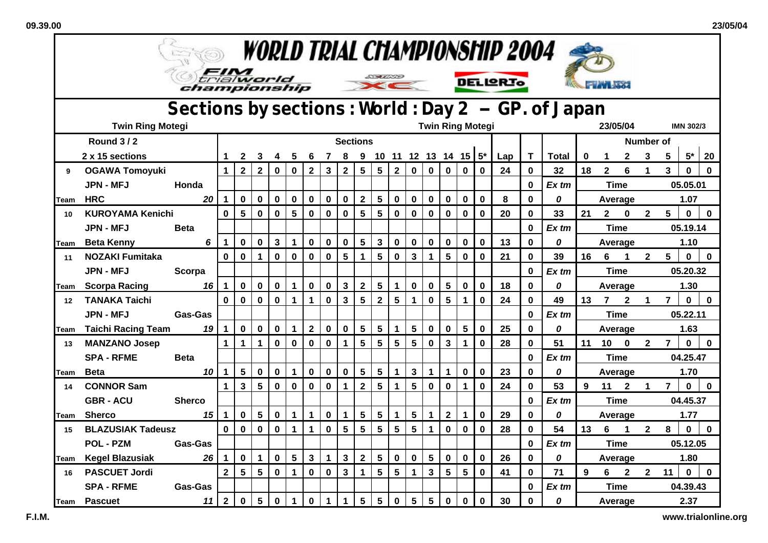$\mathbf{r}$ 

| <i><b>WORLD TRIAL CHAMPIONSHIP 2004</b></i> |                           |                                                   |                         |                         |              |             |                      |              |                |                         |                         |                         |                 |                |                         |                         |                           |             |                 |             |              |             |              |                      |                |                  |              |              |
|---------------------------------------------|---------------------------|---------------------------------------------------|-------------------------|-------------------------|--------------|-------------|----------------------|--------------|----------------|-------------------------|-------------------------|-------------------------|-----------------|----------------|-------------------------|-------------------------|---------------------------|-------------|-----------------|-------------|--------------|-------------|--------------|----------------------|----------------|------------------|--------------|--------------|
|                                             |                           | championship                                      |                         |                         | trialworld   |             |                      |              |                |                         |                         | <u>Example to</u>       |                 |                |                         |                         |                           |             | <b>DELIGRIO</b> |             |              |             |              |                      |                |                  |              |              |
|                                             |                           | Sections by sections: World: Day 2 - GP. of Japan |                         |                         |              |             |                      |              |                |                         |                         |                         |                 |                |                         |                         |                           |             |                 |             |              |             |              |                      |                |                  |              |              |
|                                             | <b>Twin Ring Motegi</b>   |                                                   |                         |                         |              |             |                      |              |                |                         |                         |                         |                 |                |                         | <b>Twin Ring Motegi</b> |                           |             |                 |             |              | 23/05/04    |              |                      |                | <b>IMN 302/3</b> |              |              |
|                                             | <b>Round 3/2</b>          |                                                   |                         |                         |              |             |                      |              |                |                         | <b>Sections</b>         |                         |                 |                |                         |                         |                           |             |                 |             |              |             |              |                      | Number of      |                  |              |              |
|                                             | 2 x 15 sections           |                                                   | 1                       | $\mathbf{2}$            | 3            | 4           | 5                    | 6            | $\overline{7}$ | 8                       |                         |                         |                 |                |                         |                         | 9 10 11 12 13 14 15 $5^*$ |             | Lap             | T           | <b>Total</b> | $\mathbf 0$ |              | $\mathbf{2}$         | 3              | 5                | $5*$         | 20           |
| 9                                           | <b>OGAWA Tomoyuki</b>     |                                                   | 1                       | $\overline{\mathbf{2}}$ | $\mathbf{2}$ | 0           | $\mathbf 0$          | $\mathbf{2}$ | $\mathbf{3}$   | $\overline{\mathbf{2}}$ | 5                       | 5                       | $\mathbf{2}$    | $\mathbf 0$    | $\mathbf 0$             | $\mathbf 0$             | $\mathbf 0$               | $\mathbf 0$ | 24              | $\mathbf 0$ | 32           | 18          | $\mathbf{2}$ | 6                    | $\mathbf 1$    | 3                | $\mathbf 0$  | $\mathbf 0$  |
|                                             | <b>JPN - MFJ</b>          | Honda                                             |                         |                         |              |             |                      |              |                |                         |                         |                         |                 |                |                         |                         |                           |             |                 | $\bf{0}$    | $Ex$ tm      |             | <b>Time</b>  |                      |                | 05.05.01         |              |              |
| Team                                        | <b>HRC</b>                | 20                                                | $\mathbf 1$             | $\mathbf 0$             | $\mathbf 0$  | $\mathbf 0$ | $\pmb{0}$            | $\pmb{0}$    | $\pmb{0}$      | $\mathbf 0$             | $\mathbf{2}$            | $5\phantom{a}$          | $\mathbf 0$     | $\pmb{0}$      | $\pmb{0}$               | $\mathbf 0$             | $\mathbf 0$               | 0           | 8               | $\bf{0}$    | 0            |             | Average      |                      |                |                  | 1.07         |              |
| 10                                          | <b>KUROYAMA Kenichi</b>   |                                                   | 0                       | 5                       | 0            | $\mathbf 0$ | 5                    | $\mathbf 0$  | 0              | $\bf{0}$                | $5\phantom{.0}$         | 5                       | 0               | 0              | $\bf{0}$                | 0                       | $\mathbf 0$               | 0           | 20              | $\bf{0}$    | 33           | 21          | $\mathbf{2}$ | $\bf{0}$             | $\mathbf{2}$   | 5                | 0            | $\bf{0}$     |
|                                             | <b>JPN - MFJ</b>          | <b>Beta</b>                                       |                         |                         |              |             |                      |              |                |                         |                         |                         |                 |                |                         |                         |                           |             |                 | $\bf{0}$    | Ex tm        |             | <b>Time</b>  |                      |                |                  | 05.19.14     |              |
| Team                                        | <b>Beta Kenny</b>         | 6                                                 | $\mathbf 1$             | $\mathbf 0$             | $\mathbf 0$  | 3           | $\mathbf 1$          | $\mathbf 0$  | $\mathbf 0$    | $\mathbf 0$             | $5\phantom{.0}$         | $\mathbf{3}$            | $\mathbf 0$     | $\mathbf 0$    | $\mathbf 0$             | $\mathbf 0$             | $\mathbf 0$               | $\mathbf 0$ | 13              | $\mathbf 0$ | 0            |             | Average      |                      |                |                  | 1.10         |              |
| 11                                          | <b>NOZAKI Fumitaka</b>    |                                                   | $\mathbf 0$             | $\mathbf 0$             | $\mathbf{1}$ | $\mathbf 0$ | $\mathbf 0$          | $\mathbf 0$  | $\mathbf 0$    | 5                       | $\mathbf 1$             | 5                       | $\mathbf 0$     | $\mathbf{3}$   | $\mathbf 1$             | 5                       | $\mathbf 0$               | $\mathbf 0$ | 21              | $\bf{0}$    | 39           | 16          | 6            | $\blacktriangleleft$ | $\mathbf{2}$   | 5                | $\mathbf 0$  | $\mathbf 0$  |
|                                             | <b>JPN - MFJ</b>          | Scorpa                                            |                         |                         |              |             |                      |              |                |                         |                         |                         |                 |                |                         |                         |                           |             |                 | $\bf{0}$    | Ex tm        |             | <b>Time</b>  |                      | 05.20.32       |                  |              |              |
| lTeam                                       | <b>Scorpa Racing</b>      | 16                                                | $\mathbf 1$             | $\mathbf 0$             | 0            | 0           | $\mathbf 1$          | $\mathbf 0$  | $\mathbf 0$    | $\mathbf{3}$            | $\mathbf 2$             | ${\bf 5}$               | $\mathbf 1$     | $\bf{0}$       | $\mathbf 0$             | 5                       | $\mathbf 0$               | $\bf{0}$    | 18              | 0           | 0            |             | Average      |                      | 1.30           |                  |              |              |
| 12 <sup>12</sup>                            | <b>TANAKA Taichi</b>      |                                                   | $\mathbf{0}$            | $\mathbf 0$             | $\mathbf 0$  | 0           | $\mathbf{1}$         | $\mathbf{1}$ | $\mathbf 0$    | 3                       | 5                       | $\overline{\mathbf{2}}$ | 5               | $\mathbf{1}$   | $\mathbf 0$             | 5                       | $\mathbf{1}$              | $\mathbf 0$ | 24              | $\mathbf 0$ | 49           | 13          | 7            | $\mathbf{2}$         | 1              | $\overline{7}$   | $\mathbf{0}$ | $\mathbf 0$  |
|                                             | <b>JPN - MFJ</b>          | Gas-Gas                                           |                         |                         |              |             |                      |              |                |                         |                         |                         |                 |                |                         |                         |                           |             |                 | 0           | Ex tm        |             | <b>Time</b>  |                      |                |                  | 05.22.11     |              |
| Team                                        | <b>Taichi Racing Team</b> | 19                                                | $\mathbf{1}$            | $\mathbf 0$             | $\mathbf 0$  | $\mathbf 0$ | $\blacktriangleleft$ | $\mathbf{2}$ | $\mathbf 0$    | $\mathbf 0$             | $5\phantom{.0}$         | $5\phantom{.0}$         | $\mathbf{1}$    | $5\phantom{a}$ | $\mathbf 0$             | $\mathbf 0$             | 5                         | $\mathbf 0$ | 25              | $\bf{0}$    | 0            |             | Average      |                      | 1.63           |                  |              |              |
| 13                                          | <b>MANZANO Josep</b>      |                                                   | 1                       | $\mathbf{1}$            | 1            | 0           | $\mathbf 0$          | $\mathbf 0$  | $\mathbf 0$    | 1                       | 5                       | 5                       | 5               | 5              | $\mathbf 0$             | $\overline{\mathbf{3}}$ | 1                         | $\mathbf 0$ | 28              | $\bf{0}$    | 51           | 11          | 10           | $\mathbf 0$          | $\mathbf{2}$   | $\overline{7}$   | $\mathbf 0$  | $\mathbf 0$  |
|                                             | <b>SPA - RFME</b>         | <b>Beta</b>                                       |                         |                         |              |             |                      |              |                |                         |                         |                         |                 |                |                         |                         |                           |             |                 | $\mathbf 0$ | Ex tm        |             | <b>Time</b>  |                      |                |                  | 04.25.47     |              |
| lTeam                                       | <b>Beta</b>               | 10                                                | $\mathbf 1$             | 5                       | $\mathbf 0$  | 0           | 1                    | $\mathbf 0$  | $\mathbf 0$    | $\mathbf 0$             | $5\phantom{.0}$         | 5                       | $\mathbf{1}$    | 3              | $\mathbf 1$             | $\mathbf{1}$            | $\mathbf 0$               | $\mathbf 0$ | 23              | $\bf{0}$    | 0            |             | Average      |                      |                |                  | 1.70         |              |
| 14                                          | <b>CONNOR Sam</b>         |                                                   | $\mathbf 1$             | $\overline{\mathbf{3}}$ | 5            | $\mathbf 0$ | $\mathbf 0$          | $\mathbf 0$  | $\mathbf 0$    | $\mathbf 1$             | $\overline{\mathbf{2}}$ | 5                       | $\mathbf 1$     | 5              | $\mathbf 0$             | $\mathbf 0$             | 1                         | $\bf{0}$    | 24              | $\bf{0}$    | 53           | 9           | 11           | $\mathbf{2}$         | $\mathbf 1$    | $\overline{7}$   | $\mathbf 0$  | $\mathbf{0}$ |
|                                             | <b>GBR-ACU</b>            | <b>Sherco</b>                                     |                         |                         |              |             |                      |              |                |                         |                         |                         |                 |                |                         |                         |                           |             |                 | $\bf{0}$    | Ex tm        |             | <b>Time</b>  |                      |                |                  | 04.45.37     |              |
| <b>Team</b>                                 | <b>Sherco</b>             | 15                                                | $\mathbf 1$             | $\mathbf 0$             | 5            | 0           | $\mathbf 1$          | $\mathbf 1$  | $\bf{0}$       | 1                       | $5\phantom{.0}$         | 5                       | 1               | 5              | 1                       | $\mathbf{2}$            | 1                         | 0           | 29              | 0           | 0            |             | Average      |                      |                |                  | 1.77         |              |
| 15                                          | <b>BLAZUSIAK Tadeusz</b>  |                                                   | $\mathbf{0}$            | $\mathbf 0$             | $\mathbf 0$  | 0           | $\mathbf 1$          | $\mathbf{1}$ | $\mathbf 0$    | 5                       | $5\phantom{.0}$         | 5                       | $5\phantom{.0}$ | 5              | $\mathbf 1$             | $\mathbf 0$             | $\mathbf 0$               | 0           | 28              | $\bf{0}$    | 54           | 13          | 6            | $\blacktriangleleft$ | $\overline{2}$ | 8                | $\mathbf 0$  | $\bf{0}$     |
|                                             | <b>POL - PZM</b>          | <b>Gas-Gas</b>                                    |                         |                         |              |             |                      |              |                |                         |                         |                         |                 |                |                         |                         |                           |             |                 | $\bf{0}$    | $Ex$ tm      |             | <b>Time</b>  |                      |                |                  | 05.12.05     |              |
| Team                                        | <b>Kegel Blazusiak</b>    | 26                                                | $\blacktriangleleft$    | $\mathbf 0$             | $\mathbf{1}$ | 0           | $5\phantom{.0}$      | $\mathbf{3}$ | $\mathbf{1}$   | $\mathbf{3}$            | $\mathbf{2}$            | $5\phantom{.0}$         | $\mathbf 0$     | $\mathbf 0$    | 5                       | 0                       | $\mathbf 0$               | 0           | 26              | $\bf{0}$    | 0            |             | Average      |                      |                |                  | 1.80         |              |
| 16                                          | <b>PASCUET Jordi</b>      |                                                   | $\overline{\mathbf{2}}$ | 5                       | 5            | 0           | $\mathbf{1}$         | $\mathbf 0$  | $\mathbf 0$    | 3                       | 1                       | $5\phantom{.0}$         | $5\phantom{.0}$ | $\mathbf{1}$   | $\overline{\mathbf{3}}$ | 5                       | 5                         | $\mathbf 0$ | 41              | $\bf{0}$    | 71           | 9           | 6            | $\mathbf{2}$         | $\mathbf{2}$   | 11               | $\mathbf 0$  | $\mathbf 0$  |
|                                             | <b>SPA - RFME</b>         | Gas-Gas                                           |                         |                         |              |             |                      |              |                |                         |                         |                         |                 |                |                         |                         |                           |             |                 | $\bf{0}$    | Ex tm        |             | Time         |                      |                |                  | 04.39.43     |              |
| Team                                        | <b>Pascuet</b>            | 11                                                | $\overline{2}$          | $\mathbf 0$             | 5            | 0           | $\mathbf{1}$         | $\mathbf 0$  | $\mathbf 1$    | $\mathbf{1}$            | 5                       | 5 <sup>5</sup>          | $\mathbf 0$     | 5              | $5\phantom{1}$          | $\mathbf 0$             | $\mathbf 0$               | 0           | 30              | 0           | 0            |             | Average      |                      |                |                  | 2.37         |              |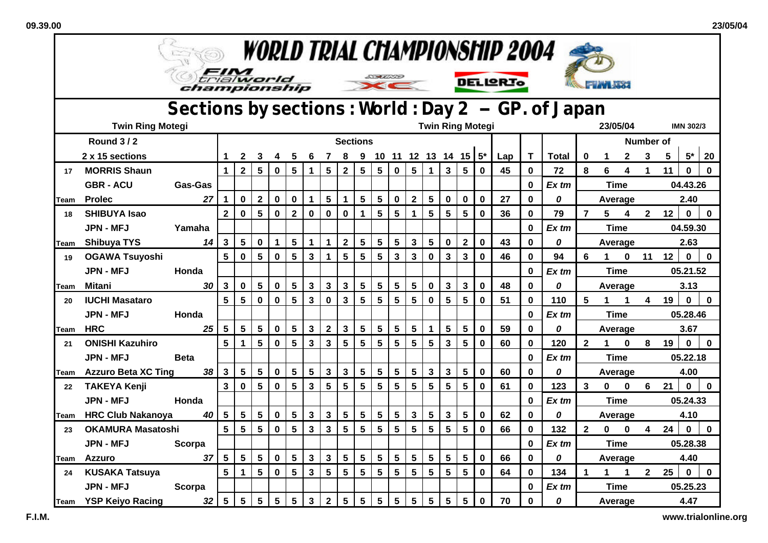$\blacksquare$ 

| <i>WORLD TRIAL CHAMPIONSHIP 2004</i> |                            |                                    |                         |                         |                 |                 |                 |                         |                         |                         |                 |                 |                           |                |                 |                         |                 |             |                 |                                                   |              |                |              |              |                |                  |             |              |  |
|--------------------------------------|----------------------------|------------------------------------|-------------------------|-------------------------|-----------------|-----------------|-----------------|-------------------------|-------------------------|-------------------------|-----------------|-----------------|---------------------------|----------------|-----------------|-------------------------|-----------------|-------------|-----------------|---------------------------------------------------|--------------|----------------|--------------|--------------|----------------|------------------|-------------|--------------|--|
|                                      |                            | trial <b>world</b><br>championship |                         |                         |                 |                 |                 |                         |                         |                         |                 | <u>DAUND</u>    | $\epsilon$                |                |                 |                         |                 |             | <b>DELIGRIO</b> |                                                   |              |                |              |              |                |                  |             |              |  |
|                                      |                            |                                    |                         |                         |                 |                 |                 |                         |                         |                         |                 |                 |                           |                |                 |                         |                 |             |                 | Sections by sections: World: Day 2 - GP. of Japan |              |                |              |              |                |                  |             |              |  |
|                                      | <b>Twin Ring Motegi</b>    |                                    |                         |                         |                 |                 |                 |                         |                         | <b>Twin Ring Motegi</b> |                 |                 |                           |                |                 |                         |                 |             |                 |                                                   |              | 23/05/04       |              |              |                | <b>IMN 302/3</b> |             |              |  |
|                                      | <b>Round 3/2</b>           |                                    |                         |                         |                 |                 |                 |                         |                         | <b>Sections</b>         |                 |                 |                           |                |                 |                         |                 |             |                 |                                                   |              |                |              |              | Number of      |                  |             |              |  |
|                                      | 2 x 15 sections            |                                    | $\mathbf 1$             | $\mathbf{2}$            | 3               | 4               | 5               | 6                       | $\overline{7}$          | 8                       |                 |                 | 9 10 11 12 13 14 15 $5^*$ |                |                 |                         |                 |             | Lap             | $\mathbf T$                                       | <b>Total</b> | $\bf{0}$       | $\mathbf 1$  | $\mathbf{2}$ | 3              | 5                | $5^*$       | 20           |  |
| 17                                   | <b>MORRIS Shaun</b>        |                                    | $\mathbf{1}$            | $\overline{2}$          | 5               | 0               | 5               | $\mathbf 1$             | 5                       | $\mathbf 2$             | 5               | 5               | $\mathbf 0$               | 5              | 1               | $\mathbf{3}$            | 5               | $\bf{0}$    | 45              | $\bf{0}$                                          | 72           | 8              | 6            | 4            | $\mathbf 1$    | 11               | $\mathbf 0$ | $\mathbf{0}$ |  |
|                                      | <b>GBR - ACU</b>           | Gas-Gas                            |                         |                         |                 |                 |                 |                         |                         |                         |                 |                 |                           |                |                 |                         |                 |             |                 | $\bf{0}$                                          | $Ex$ tm      |                | <b>Time</b>  |              |                |                  | 04.43.26    |              |  |
| Team                                 | <b>Prolec</b>              | 27                                 | $\blacktriangleleft$    | $\mathbf 0$             | $\overline{2}$  | $\mathbf 0$     | $\mathbf 0$     | $\mathbf{1}$            | $5\phantom{a}$          | 1                       | $5\phantom{.0}$ | $5\phantom{.0}$ | $\mathbf 0$               | $\mathbf{2}$   | $5\phantom{.0}$ | $\mathbf 0$             | $\mathbf 0$     | $\mathbf 0$ | 27              | $\bf{0}$                                          | 0            |                | Average      |              |                |                  | 2.40        |              |  |
| 18                                   | <b>SHIBUYA Isao</b>        |                                    | $\overline{\mathbf{2}}$ | $\bf{0}$                | 5               | $\pmb{0}$       | $\mathbf{2}$    | $\pmb{0}$               | $\mathbf 0$             | $\mathbf 0$             | 1               | 5               | $5\phantom{1}$            | $\mathbf{1}$   | $5\phantom{.0}$ | 5                       | 5               | $\mathbf 0$ | 36              | $\bf{0}$                                          | 79           | $\overline{7}$ | 5            | 4            | $\mathbf{2}$   | 12               | $\pmb{0}$   | $\mathbf 0$  |  |
|                                      | JPN - MFJ                  | Yamaha                             |                         |                         |                 |                 |                 |                         |                         |                         |                 |                 |                           |                |                 |                         |                 |             |                 | $\mathbf 0$                                       | $Ex$ tm      |                | <b>Time</b>  |              |                |                  | 04.59.30    |              |  |
| <b>Team</b>                          | <b>Shibuya TYS</b>         | 14                                 | 3                       | 5                       | $\mathbf 0$     | 1               | $5\phantom{.0}$ | $\mathbf{1}$            | $\mathbf{1}$            | $\overline{\mathbf{2}}$ | $5\phantom{.0}$ | 5               | $5\phantom{1}$            | 3              | $5\phantom{1}$  | $\mathbf 0$             | $\mathbf{2}$    | $\mathbf 0$ | 43              | $\bf{0}$                                          | 0            |                | Average      |              |                |                  | 2.63        |              |  |
| 19                                   | <b>OGAWA Tsuyoshi</b>      |                                    | 5                       | $\mathbf 0$             | 5               | $\mathbf 0$     | $5\phantom{.0}$ | $\mathbf{3}$            | $\mathbf{1}$            | 5                       | $5\phantom{.0}$ | $5\phantom{.0}$ | $\mathbf{3}$              | $\mathbf{3}$   | $\mathbf 0$     | $\overline{\mathbf{3}}$ | $\mathbf{3}$    | 0           | 46              | $\mathbf 0$                                       | 94           | 6              | $\mathbf 1$  | $\mathbf{0}$ | 11             | 12               | $\mathbf 0$ | $\mathbf 0$  |  |
|                                      | <b>JPN - MFJ</b>           | Honda                              |                         |                         |                 |                 |                 |                         |                         |                         |                 |                 |                           |                |                 |                         |                 |             |                 | $\bf{0}$                                          | Ex tm        |                | <b>Time</b>  |              |                |                  | 05.21.52    |              |  |
| lTeam                                | Mitani                     | 30                                 | $\mathbf{3}$            | $\mathbf 0$             | 5               | 0               | 5               | $\mathbf{3}$            | $\mathbf{3}$            | 3                       | 5               | 5               | 5                         | 5              | $\mathbf 0$     | $\mathbf{3}$            | 3               | $\bf{0}$    | 48              | $\bf{0}$                                          | 0            |                | Average      |              |                |                  | 3.13        |              |  |
| 20                                   | <b>IUCHI Masataro</b>      |                                    | 5                       | 5                       | $\mathbf 0$     | $\mathbf 0$     | $5\phantom{1}$  | $\mathbf{3}$            | $\mathbf 0$             | $\overline{3}$          | 5               | 5               | $5\phantom{.0}$           | 5              | $\mathbf 0$     | 5                       | $5\phantom{.0}$ | $\bf{0}$    | 51              | $\bf{0}$                                          | 110          | 5              | $\mathbf 1$  | $\mathbf 1$  | 4              | 19               | $\mathbf 0$ | $\mathbf 0$  |  |
|                                      | <b>JPN - MFJ</b>           | Honda                              |                         |                         |                 |                 |                 |                         |                         |                         |                 |                 |                           |                |                 |                         |                 |             |                 | $\bf{0}$                                          | Ex tm        |                | <b>Time</b>  |              |                |                  | 05.28.46    |              |  |
| Team                                 | <b>HRC</b>                 | 25                                 | 5                       | 5                       | $5\phantom{a}$  | 0               | $5\phantom{.0}$ | $\mathbf{3}$            | $\overline{\mathbf{2}}$ | $\mathbf{3}$            | 5               | $5\phantom{a}$  | $5\phantom{1}$            | $5\phantom{1}$ | 1               | 5                       | 5               | 0           | 59              | $\bf{0}$                                          | 0            |                | Average      |              |                |                  | 3.67        |              |  |
| 21                                   | <b>ONISHI Kazuhiro</b>     |                                    | 5                       | $\mathbf{1}$            | $5\phantom{.0}$ | $\mathbf 0$     | $5\phantom{.0}$ | $\mathbf{3}$            | $\mathbf{3}$            | 5                       | $5\phantom{.0}$ | $5\phantom{1}$  | $5\phantom{.0}$           | 5              | 5               | $\mathbf{3}$            | $5\phantom{.0}$ | $\mathbf 0$ | 60              | $\bf{0}$                                          | 120          | $\mathbf{2}$   | $\mathbf 1$  | $\mathbf 0$  | 8              | 19               | $\mathbf 0$ | $\mathbf 0$  |  |
|                                      | <b>JPN - MFJ</b>           | <b>Beta</b>                        |                         |                         |                 |                 |                 |                         |                         |                         |                 |                 |                           |                |                 |                         |                 |             |                 | $\bf{0}$                                          | Ex tm        |                | <b>Time</b>  |              |                |                  | 05.22.18    |              |  |
| Team                                 | <b>Azzuro Beta XC Ting</b> | 38                                 | $\mathbf{3}$            | $\overline{\mathbf{5}}$ | $5\phantom{.0}$ | 0               | 5               | $5\phantom{a}$          | $\mathbf{3}$            | $\mathbf{3}$            | $5\phantom{.0}$ | $5\phantom{a}$  | $5\phantom{1}$            | 5              | $\mathbf{3}$    | 3                       | 5               | 0           | 60              | $\bf{0}$                                          | 0            |                | Average      |              |                |                  | 4.00        |              |  |
| 22                                   | <b>TAKEYA Kenji</b>        |                                    | $\mathbf{3}$            | $\mathbf 0$             | 5               | $\mathbf 0$     | $5\phantom{.0}$ | $\mathbf{3}$            | $5\phantom{1}$          | 5                       | 5               | 5               | $5\phantom{a}$            | 5              | $5\phantom{.0}$ | 5                       | $5\phantom{.0}$ | $\bf{0}$    | 61              | $\mathbf 0$                                       | 123          | $\overline{3}$ | $\mathbf{0}$ | $\bf{0}$     | 6              | 21               | $\mathbf 0$ | $\mathbf 0$  |  |
|                                      | <b>JPN - MFJ</b>           | Honda                              |                         |                         |                 |                 |                 |                         |                         |                         |                 |                 |                           |                |                 |                         |                 |             |                 | $\bf{0}$                                          | Ex tm        |                | <b>Time</b>  |              |                |                  | 05.24.33    |              |  |
| Team                                 | <b>HRC Club Nakanoya</b>   | 40                                 | $5\phantom{1}$          | $5\phantom{.0}$         | $5\phantom{.0}$ | $\mathbf 0$     | $5\phantom{.0}$ | $\mathbf 3$             | $\mathbf{3}$            | $5\phantom{.0}$         | $5\phantom{.0}$ | $5\phantom{a}$  | $5\phantom{1}$            | $\mathbf{3}$   | $5\phantom{.0}$ | 3                       | 5               | 0           | 62              | $\bf{0}$                                          | 0            |                | Average      |              |                |                  | 4.10        |              |  |
| 23                                   | <b>OKAMURA Masatoshi</b>   |                                    | 5                       | 5                       | 5               | 0               | $5\phantom{1}$  | $\overline{\mathbf{3}}$ | $\mathbf{3}$            | 5                       | 5               | 5               | 5                         | 5              | 5               | 5                       | 5               | $\mathbf 0$ | 66              | $\bf{0}$                                          | 132          | $\overline{2}$ | 0            | $\bf{0}$     | 24<br>4        |                  | $\mathbf 0$ | $\mathbf 0$  |  |
|                                      | <b>JPN - MFJ</b>           | Scorpa                             |                         |                         |                 |                 |                 |                         |                         |                         |                 |                 |                           |                |                 |                         |                 |             |                 | 0                                                 | Ex tm        |                | <b>Time</b>  |              |                |                  | 05.28.38    |              |  |
| lTeam                                | <b>Azzuro</b>              | 37                                 | $5\phantom{.0}$         | $5\phantom{.0}$         | $5\phantom{a}$  | $\mathbf 0$     | $5\phantom{.0}$ | $\mathbf{3}$            | $\mathbf{3}$            | $5\phantom{a}$          | 5               | $5\phantom{.0}$ | $5\phantom{.0}$           | $5\phantom{a}$ | $5\phantom{1}$  | 5                       | $5\phantom{.0}$ | $\mathbf 0$ | 66              | $\bf{0}$                                          | 0            |                | Average      |              |                |                  | 4.40        |              |  |
| 24                                   | <b>KUSAKA Tatsuya</b>      |                                    | 5                       | $\mathbf{1}$            | $5\phantom{.0}$ | $\mathbf 0$     | $5\phantom{.0}$ | $\mathbf{3}$            | 5                       | 5                       | $5\phantom{.0}$ | $5\phantom{a}$  | $5\phantom{1}$            | 5              | $5\phantom{.0}$ | 5                       | 5               | $\mathbf 0$ | 64              | $\bf{0}$                                          | 134          | 1              | 1            | $\mathbf 1$  | $\overline{2}$ | 25               | $\mathbf 0$ | $\mathbf 0$  |  |
|                                      | <b>JPN - MFJ</b>           | Scorpa                             |                         |                         |                 |                 |                 |                         |                         |                         |                 |                 |                           |                |                 |                         |                 |             |                 | $\bf{0}$                                          | Ex tm        |                | Time         |              |                |                  | 05.25.23    |              |  |
| Team                                 | <b>YSP Keiyo Racing</b>    | 32                                 | $5\phantom{.0}$         | $5\phantom{1}$          | $5\phantom{.0}$ | $5\phantom{.0}$ | $5\phantom{.0}$ | $\mathbf{3}$            | 2 <sup>1</sup>          | $5\phantom{a}$          | $5\phantom{.0}$ | $5\overline{)}$ | 5                         | 5              | $5\phantom{1}$  | 5                       | $5\phantom{.0}$ | 0           | 70              | 0                                                 | 0            |                |              | Average      |                | 4.47             |             |              |  |